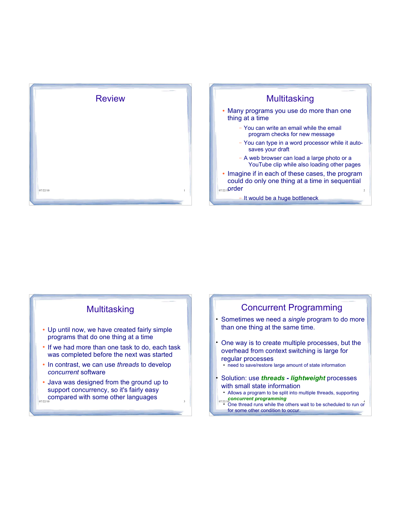



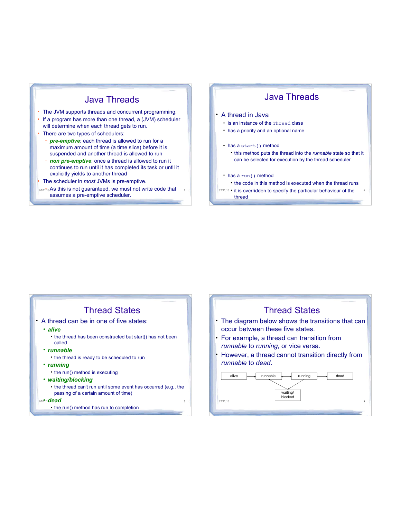### Java Threads

- The JVM supports threads and concurrent programming.
- If a program has more than one thread, a (JVM) scheduler will determine when each thread gets to run.
- There are two types of schedulers:
	- *pre-emptive*: each thread is allowed to run for a maximum amount of time (a time slice) before it is suspended and another thread is allowed to run
	- *non pre-emptive*: once a thread is allowed to run it continues to run until it has completed its task or until it explicitly yields to another thread

The scheduler in *most* JVMs is pre-emptive.

 $_{07/22/10}$ As this is not guaranteed, we must not write code that  $\frac{1}{2}$ assumes a pre-emptive scheduler.

### Java Threads

#### A thread in Java

- is an instance of the Thread class
- has a priority and an optional name
- has a start() method
	- this method puts the thread into the *runnable* state so that it can be selected for execution by the thread scheduler

#### • has a run() method

- the code in this method is executed when the thread runs
- 07/22/10 it is overridden to specify the particular behaviour of the 6 thread

### Thread States

- A thread can be in one of five states:
	- *alive*
		- the thread has been constructed but start() has not been called
	- *runnable*
		- the thread is ready to be scheduled to run
	- *running*
		- the run() method is executing
	- *waiting/blocking*
		- the thread can't run until some event has occurred (e.g., the passing of a certain amount of time)
	- 07/2*ndead*  $\frac{1}{2}$ 
		- the run() method has run to completion

### Thread States

- The diagram below shows the transitions that can occur between these five states.
- For example, a thread can transition from *runnable* to *running,* or vice versa.
- However, a thread cannot transition directly from *runnable* to *dead*.

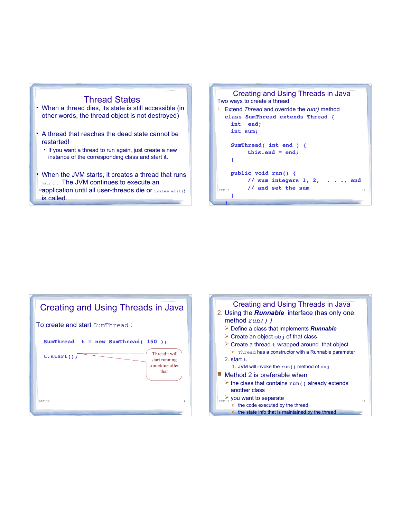

- When a thread dies, its state is still accessible (in other words, the thread object is not destroyed)
- A thread that reaches the dead state cannot be restarted!
	- If you want a thread to run again, just create a new instance of the corresponding class and start it.
- orapplication until all user-threads die or system.exit (?) When the JVM starts, it creates a thread that runs main(). The JVM continues to execute an is called.



| Creating and Using Threads in Java                                    |  |  |
|-----------------------------------------------------------------------|--|--|
| To create and start SumThread:                                        |  |  |
| $SumThread$ t = new SumThread(150);                                   |  |  |
| Thread t will<br>t.start()<br>start running<br>sometime after<br>that |  |  |
| 07/22/10<br>11                                                        |  |  |

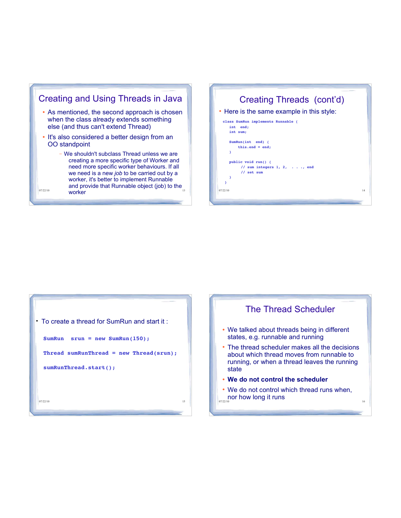





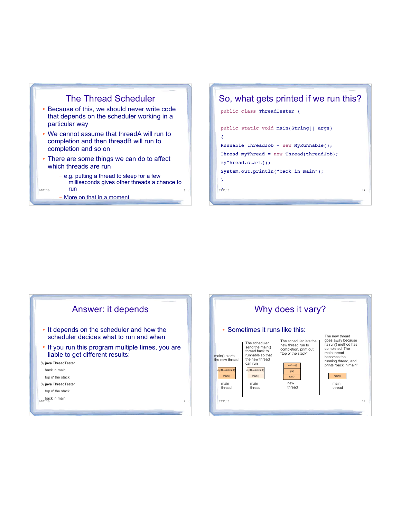



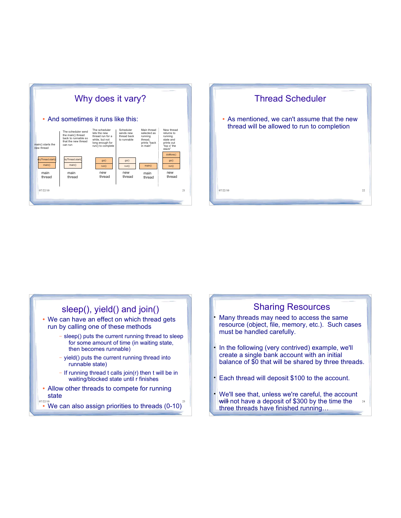



### sleep(), yield() and join() We can have an effect on which thread gets run by calling one of these methods

- sleep() puts the current running thread to sleep for some amount of time (in waiting state, then becomes runnable)
- $-$  yield() puts the current running thread into runnable state)
- $-I$  If running thread t calls join(r) then t will be in waiting/blocked state until r finishes
- Allow other threads to compete for running state
- $\overset{\scriptscriptstyle{07}{\prime22}{\prime0}}{\cdot}$  We can also assign priorities to threads (0-10) $^2$

### Sharing Resources

- Many threads may need to access the same resource (object, file, memory, etc.). Such cases must be handled carefully.
- In the following (very contrived) example, we'll create a single bank account with an initial balance of \$0 that will be shared by three threads.
- Each thread will deposit \$100 to the account.
- will not have a deposit of \$300 by the time the  $24$  We'll see that, unless we're careful, the account three threads have finished running...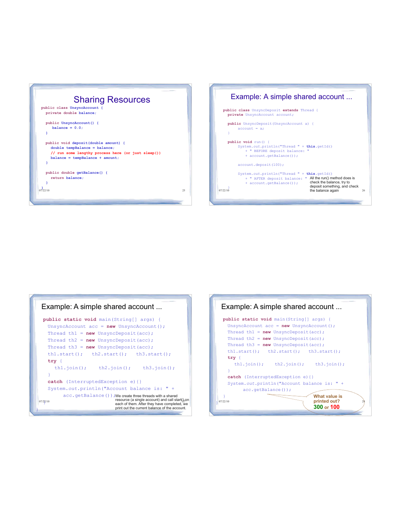



#### <sup>07/22/10</sup> <sup>resource</sup> (a single account) and call start( $\frac{1}{2}$ , on each of them. After they have completed, we **public static void** main(String[] args) { UnsyncAccount acc = **new** UnsyncAccount(); Thread th1 = **new** UnsyncDeposit(acc); Thread th2 = **new** UnsyncDeposit(acc); Thread th3 = **new** UnsyncDeposit(acc); th1.start(); th2.start(); th3.start(); **try** { th1.join(); th2.join(); th3.join(); } **catch** (InterruptedException e){} System.*out*.println("Account balance is: " + acc.getBalance()); We create three threads with a shared  $07/22/10$ } Example: A simple shared account ... print out the current balance of the account.

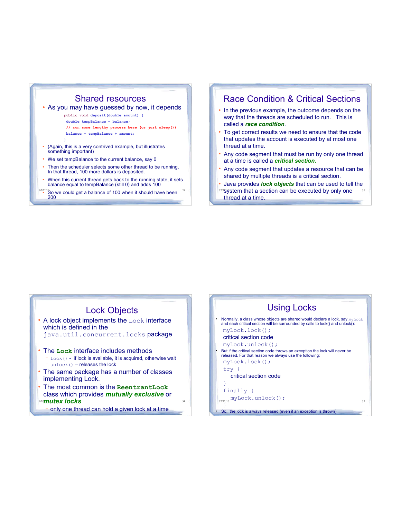### Shared resources

#### As you may have guessed by now, it depends

**public void deposit(double amount) {**

 **double tempBalance = balance;**

**// run some lengthy process here (or just sleep()) balance = tempBalance + amount;**

**}**

- (Again, this is a very contrived example, but illustrates something important)
- We set tempBalance to the current balance, say 0
- Then the scheduler selects some other thread to be running. In that thread, 100 more dollars is deposited.
- When this current thread gets back to the running state, it sets balance equal to tempBalance (still 0) and adds 100
- $\frac{07/22/18}{5}$  owe could get a balance of 100 when it should have been  $^{-29}$ 200

### Race Condition & Critical Sections

- In the previous example, the outcome depends on the way that the threads are scheduled to run. This is called a *race condition*.
- To get correct results we need to ensure that the code that updates the account is executed by at most one thread at a time.
- Any code segment that must be run by only one thread at a time is called a *critical section.*
- Any code segment that updates a resource that can be shared by multiple threads is a critical section.
- 072**system that a section can be executed by only one** 30 Java provides *lock objects* that can be used to tell the thread at a time.

### Lock Objects

- A lock object implements the Lock interface which is defined in the java.util.concurrent.locks package The **Lock** interface includes methods
	- $\text{lock}($ ) if lock is available, it is acquired, otherwise wait - unlock() - releases the lock
- The same package has a number of classes implementing Lock.
- one *mutex locks* **and** *mutex* **locks b**  The most common is the **ReentrantLock** class which provides *mutually exclusive* or
	- only one thread can hold a given lock at a time

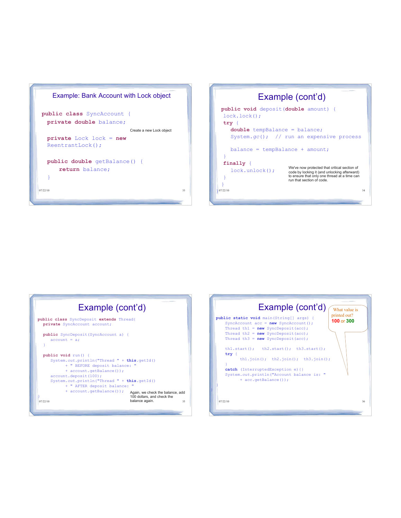



| Example (cont'd)                                                                                                                                                                                                                                                                                                                                                        |  |  |
|-------------------------------------------------------------------------------------------------------------------------------------------------------------------------------------------------------------------------------------------------------------------------------------------------------------------------------------------------------------------------|--|--|
| public class SyncDeposit extends Thread{<br>private SyncAccount account;                                                                                                                                                                                                                                                                                                |  |  |
| <b>public</b> SyncDeposit (SyncAccount a) {<br>$account = a$                                                                                                                                                                                                                                                                                                            |  |  |
| public void run() {<br>System.out.println("Thread " + this.getId()<br>+ " BEFORE deposit balance: "<br>+ account.getBalance());<br>account.deposit(100);<br>System.out.println("Thread " + this.getId()<br>+ " AFTER deposit balance:<br>+ account.getBalance());<br>Again, we check the balance, add<br>100 dollars, and check the<br>balance again.<br>35<br>07/22/10 |  |  |

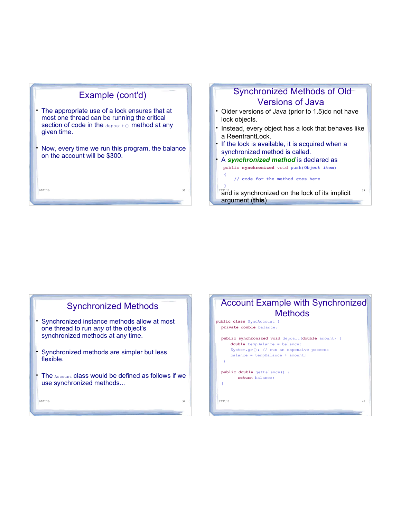

### Synchronized Methods of Old Versions of Java

- Older versions of Java (prior to 1.5)do not have lock objects.
- Instead, every object has a lock that behaves like a ReentrantLock.
- If the lock is available, it is acquired when a synchronized method is called.
- A *synchronized method* is declared as public **synchronized** void push(Object item)  $\vert \vert$

// code for the method goes here

 $\|$  }

07/22/10 38 and is synchronized on the lock of its implicit argument (**this**)





07/22/10 39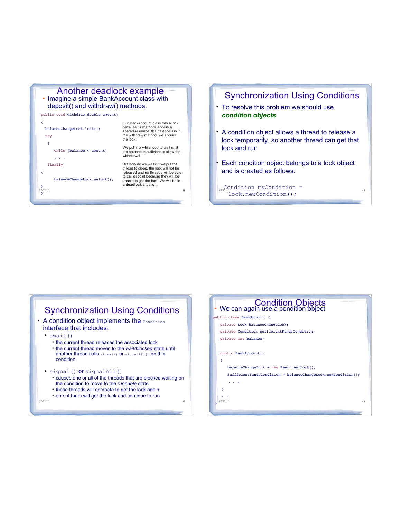

public void withdraw(double amount)



Our BankAccount class has a lock because its methods access a secuted its member access a the withdraw method, we acquire the lock.

We put in a while loop to wait until the balance is sufficient to allow the withdrawal.

But how do we wait? If we put the thread to sleep, the lock will not be released and no threads will be able to call deposit because they will be unable to get the lock. We will be in a **deadlock** situation.

### Synchronization Using Conditions

- To resolve this problem we should use *condition objects*
- A condition object allows a thread to release a lock temporarily, so another thread can get that lock and run
- Each condition object belongs to a lock object and is created as follows:

<sup>07/22/10</sup><br>lock.newCondition(); Condition myCondition =

#### Synchronization Using Conditions • A condition object implements the condition interface that includes: •  $await()$

- the current thread releases the associated lock
- the current thread moves to the *wait/blocked* state until another thread calls signal() or signalAll() on this condition

#### signal() or signalAll()

- causes one or all of the threads that are blocked waiting on the condition to move to the *runnable* state
- these threads will compete to get the lock again
- one of them will get the lock and continue to run

07/22/10 43

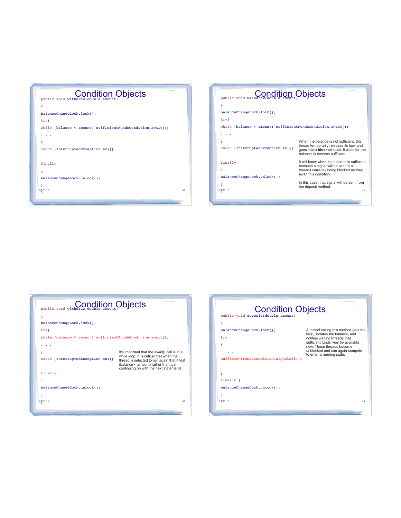| <b>Condition Objects</b>                                      |    |
|---------------------------------------------------------------|----|
| ₹                                                             |    |
| balanceChangeLock.lock();                                     |    |
| tryf                                                          |    |
| while (balance < amount) $sufficientFundsCondition.await()$ ; |    |
|                                                               |    |
| ١                                                             |    |
| catch (InterruptedException ex) {}                            |    |
|                                                               |    |
| finally                                                       |    |
| ₹                                                             |    |
| balanceChangeLock.unlock();                                   |    |
| γ                                                             |    |
| 07/22/10                                                      | 45 |

| public void withdraw(double amount) Objects                                                              |                                                                                                                                                                             |  |
|----------------------------------------------------------------------------------------------------------|-----------------------------------------------------------------------------------------------------------------------------------------------------------------------------|--|
| balanceChangeLock.lock();<br>tryf<br>while (balance $\leq$ amount) sufficient Funds Condition. await (); |                                                                                                                                                                             |  |
| γ<br>catch (InterruptedException ex) {}                                                                  | When the balance is not sufficient, this<br>thread temporarily releases its lock and<br>goes into a <b>blocked</b> state. It waits for the<br>balance to become sufficient. |  |
| finally<br>balanceChangeLock.unlock();                                                                   | It will know when the balance is sufficient<br>because a signal will be sent to all<br>threads currently being blocked as they<br>await this condition.                     |  |
| 07/22/10                                                                                                 | In this case, that signal will be sent from<br>the deposit method.<br>46                                                                                                    |  |

| public void withdraw(double amount) Objects                         |                                                                                                                                                                            |  |
|---------------------------------------------------------------------|----------------------------------------------------------------------------------------------------------------------------------------------------------------------------|--|
| ₹                                                                   |                                                                                                                                                                            |  |
| balanceChangeLock.lock();                                           |                                                                                                                                                                            |  |
| tryf                                                                |                                                                                                                                                                            |  |
| while (balance $\leq$ amount) sufficient Funds Condition. await (); |                                                                                                                                                                            |  |
|                                                                     |                                                                                                                                                                            |  |
|                                                                     | It's important that the await() call is in a                                                                                                                               |  |
| catch (InterruptedException ex) {}                                  | while loop. It is critical that when the<br>thread is selected to run again that it test<br>(balance < amount) rather than just<br>continuing on with the next statements. |  |
| finally                                                             |                                                                                                                                                                            |  |
|                                                                     |                                                                                                                                                                            |  |
| balanceChangeLock.unlock();                                         |                                                                                                                                                                            |  |
| γ                                                                   |                                                                                                                                                                            |  |
| 07/22/10                                                            | 47                                                                                                                                                                         |  |
|                                                                     |                                                                                                                                                                            |  |

| <b>Condition Objects</b><br>public void deposit(double amount)                 |                                                                                                                                                                                                                                            |
|--------------------------------------------------------------------------------|--------------------------------------------------------------------------------------------------------------------------------------------------------------------------------------------------------------------------------------------|
| ₹<br>balanceChangeLock.lock();<br>try<br>sufficientFundsCondition.signalAll(); | A thread calling this method gets the<br>lock, updates the balance, and<br>notifies waiting threads that<br>sufficient funds may be available<br>now. Those threads become<br>unblocked and can again compete<br>to enter a running state. |
| γ<br>finally $\{$<br>balanceChangeLock.unlock();<br>γ<br>07/22/10              | 48                                                                                                                                                                                                                                         |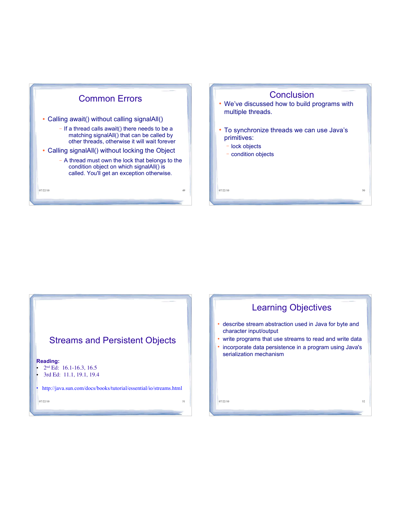

### **Conclusion**

- We've discussed how to build programs with multiple threads.
- To synchronize threads we can use Java's primitives:
	- lock objects
	- condition objects

 $07/22/10$  50

### Streams and Persistent Objects

#### **Reading:**

- $2<sup>nd</sup> Ed: 16.1-16.3, 16.5$
- 3rd Ed: 11.1, 19.1, 19.4

http://java.sun.com/docs/books/tutorial/essential/io/streams.html

07/22/10 51

## Learning Objectives

- describe stream abstraction used in Java for byte and character input/output
- write programs that use streams to read and write data
- incorporate data persistence in a program using Java's serialization mechanism

 $07/22/10$  52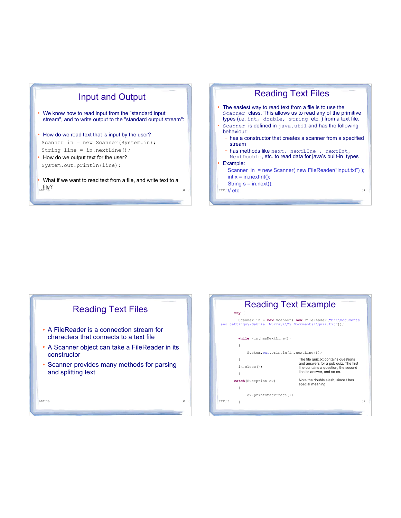

- We know how to read input from the "standard input stream", and to write output to the "standard output stream":
- How do we read text that is input by the user? Scanner in = new Scanner(System.in); String line = in.nextLine();
- How do we output text for the user? System.out.println(line);
- $07/22/10$  53 What if we want to read text from a file, and write text to a  $_{07/22/10}$





| <b>Reading Text Example</b>                                                                                               |                                                                               |  |
|---------------------------------------------------------------------------------------------------------------------------|-------------------------------------------------------------------------------|--|
| $try \f$                                                                                                                  |                                                                               |  |
| Scanner in = $new$ Scanner ( $new$ FileReader ("C:\\Documents<br>and Settings\\Gabriel Murray\\My Documents\\quiz.txt")); |                                                                               |  |
| while (in.hasNextLine())                                                                                                  |                                                                               |  |
|                                                                                                                           |                                                                               |  |
| System.out.println(in.nextLine());                                                                                        |                                                                               |  |
| ł                                                                                                                         | The file quiz.txt contains questions                                          |  |
| in.close()                                                                                                                | and answers for a pub quiz. The first<br>line contains a question, the second |  |
|                                                                                                                           | line its answer, and so on.                                                   |  |
| catch (Exception ex)                                                                                                      | Note the double slash, since \ has                                            |  |
|                                                                                                                           | special meaning.                                                              |  |
| ex.printStackTrace();                                                                                                     |                                                                               |  |
| 07/22/10                                                                                                                  | 56                                                                            |  |
|                                                                                                                           |                                                                               |  |
|                                                                                                                           |                                                                               |  |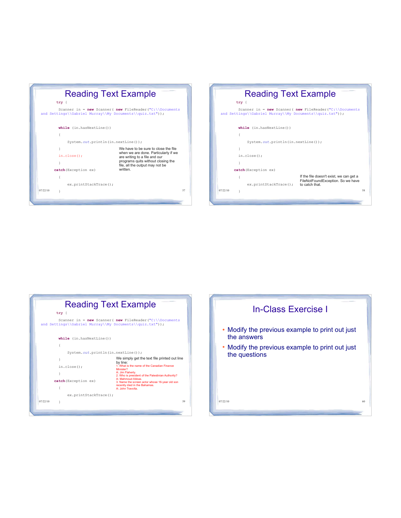

| <b>Reading Text Example</b><br>$try \f$                                                                                   |                                                     |  |  |
|---------------------------------------------------------------------------------------------------------------------------|-----------------------------------------------------|--|--|
| Scanner in = $new$ Scanner ( $new$ FileReader ("C:\\Documents<br>and Settings\\Gabriel Murray\\My Documents\\quiz.txt")); |                                                     |  |  |
| while (in.hasNextLine())                                                                                                  |                                                     |  |  |
|                                                                                                                           |                                                     |  |  |
| System.out.println(in.nextLine());                                                                                        |                                                     |  |  |
|                                                                                                                           |                                                     |  |  |
| in.close()                                                                                                                |                                                     |  |  |
|                                                                                                                           |                                                     |  |  |
| catch (Exception ex)                                                                                                      |                                                     |  |  |
|                                                                                                                           | If the file doesn't exist, we can get a             |  |  |
| ex.printStackTrace();                                                                                                     | FileNotFoundException. So we have<br>to catch that. |  |  |
| 07/22/10<br>ı                                                                                                             | 58                                                  |  |  |
|                                                                                                                           |                                                     |  |  |
|                                                                                                                           |                                                     |  |  |



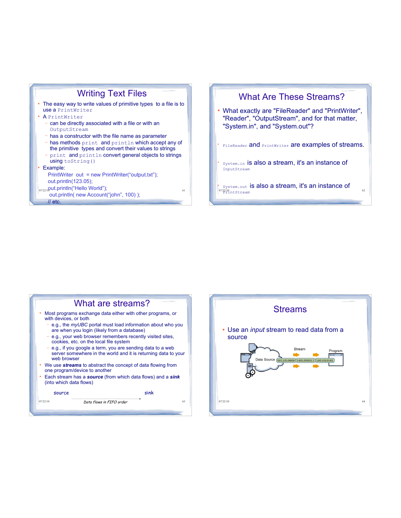



 $\frac{1}{2}07/22/10$  htStream ò System.out is also a stream, it's an instance of

#### What are streams? Most programs exchange data either with other programs, or with devices, or both e.g., the *myUBC* portal must load information about who you are when you login (likely from a database) e.g., your web browser remembers recently visited sites, cookies, etc. on the local file system e.g., if you google a term, you are sending data to a web server somewhere in the world and it is returning data to your web browser

- We use *streams* to abstract the concept of data flowing from one program/device to another
- Each stream has a *source* (from which data flows) and a *sink* (into which data flows)



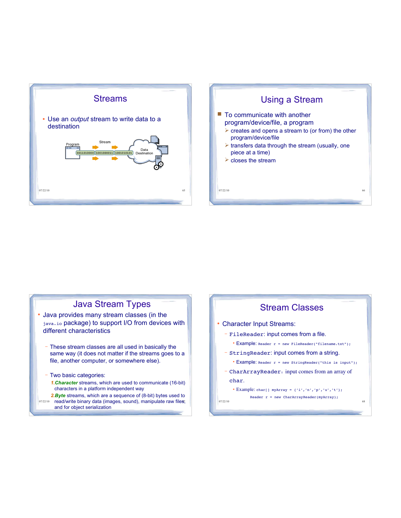



### Java Stream Types Java provides many stream classes (in the

- java.io package) to support I/O from devices with different characteristics
	- These stream classes are all used in basically the same way (it does not matter if the streams goes to a file, another computer, or somewhere else).
	- Two basic categories:
		- *1.Character* streams, which are used to communicate (16-bit) characters in a platform independent way
- 07/22/10 read/write binary data (images, sound), manipulate raw files, *2.Byte* streams, which are a sequence of (8-bit) bytes used to and for object serialization

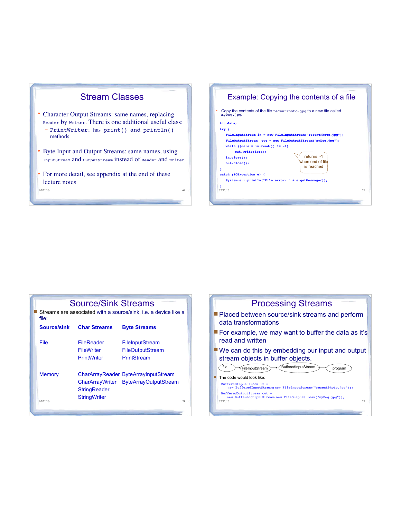

methods Byte Input and Output Streams: same names, using

InputStream and OutputStream instead of Reader and Writer

• For more detail, see appendix at the end of these

07/22/10 69

lecture notes



| file:                     | <b>Source/Sink Streams</b>                                   | Streams are associated with a source/sink, i.e. a device like a               |    |
|---------------------------|--------------------------------------------------------------|-------------------------------------------------------------------------------|----|
| <b>Source/sink</b>        | <b>Char Streams</b>                                          | <b>Byte Streams</b>                                                           |    |
| File                      | <b>FileReader</b><br><b>FileWriter</b><br><b>PrintWriter</b> | FileInputStream<br>FileOutputStream<br><b>PrintStream</b>                     |    |
| <b>Memory</b><br>07/22/10 | <b>StringReader</b><br><b>StringWriter</b>                   | CharArrayReader ByteArrayInputStream<br>CharArrayWriter ByteArrayOutputStream | 71 |
|                           |                                                              |                                                                               |    |

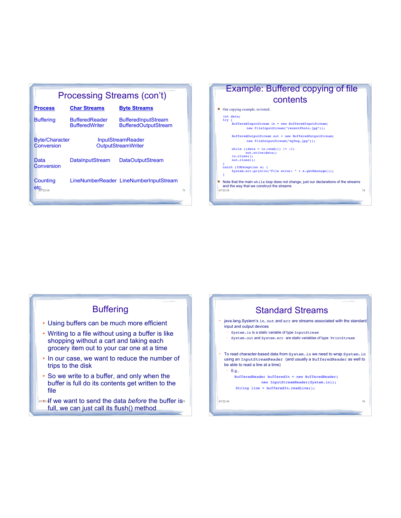|                                                                                              | <b>Processing Streams (con't)</b>              |                                                           |  |  |
|----------------------------------------------------------------------------------------------|------------------------------------------------|-----------------------------------------------------------|--|--|
| <b>Process</b>                                                                               | <b>Char Streams</b>                            | <b>Byte Streams</b>                                       |  |  |
| <b>Buffering</b>                                                                             | <b>BufferedReader</b><br><b>BufferedWriter</b> | <b>BufferedInputStream</b><br><b>BufferedOutputStream</b> |  |  |
| <b>Byte/Character</b><br><b>InputStreamReader</b><br>Conversion<br><b>OutputStreamWriter</b> |                                                |                                                           |  |  |
| Data<br>Conversion                                                                           | <b>DataInputStream</b>                         | DataOutputStream                                          |  |  |
| Counting<br>etc.                                                                             |                                                | LineNumberReader LineNumberInputStream<br>73              |  |  |



### **Buffering**

- Using buffers can be much more efficient
- Writing to a file without using a buffer is like shopping without a cart and taking each grocery item out to your car one at a time
- In our case, we want to reduce the number of trips to the disk
- So we write to a buffer, and only when the buffer is full do its contents get written to the file
- or<sub>22/1</sub> If we want to send the data *before* the buffer is<sup>35</sup> full, we can just call its flush() method

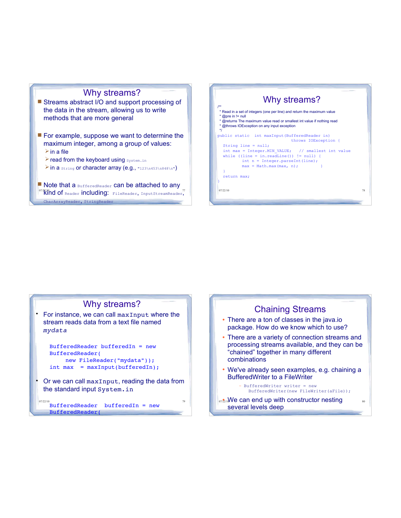### Why streams?

- Streams abstract I/O and support processing of the data in the stream, allowing us to write methods that are more general
- $\blacksquare$  For example, suppose we want to determine the maximum integer, among a group of values:  $\triangleright$  in a file
	- **> read from the keyboard using System.in**
	- > in a string or character array (e.g., "123\n453\n848\n")
- <sup>07/2</sup>Kind of Reader including: FileReader, InputStreamReader,<sup>77</sup> Note that a BufferedReader can be attached to any CharArrayReader, StringReader



### Why streams? For instance, we can call maxInput where the

stream reads data from a text file named *mydata*

```
BufferedReader bufferedIn = new 
BufferedReader( 
   new FileReader("mydata"));
int max = maxInput(bufficient);
```
 Or we can call maxInput, reading the data from the standard input System.in

 $\frac{67}{22210}$ BufferedReader bufferedIn = new  $\frac{79}{2210}$ BufferedReader(

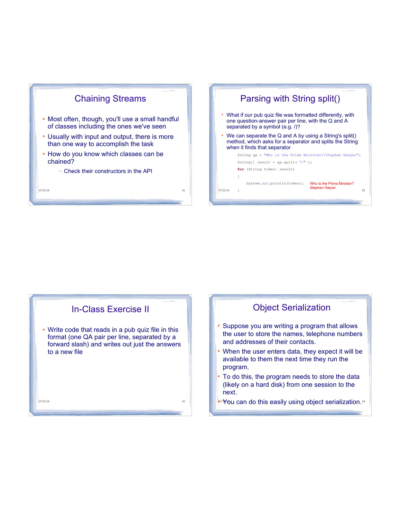





### Object Serialization

- Suppose you are writing a program that allows the user to store the names, telephone numbers and addresses of their contacts.
- When the user enters data, they expect it will be available to them the next time they run the program.
- To do this, the program needs to store the data (likely on a hard disk) from one session to the next.
- on You can do this easily using object serialization.<sup>84</sup>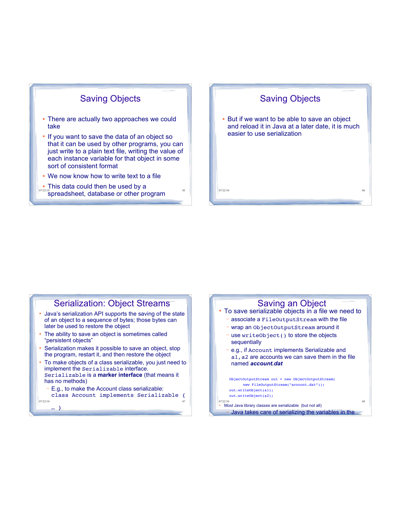### Saving Objects

- There are actually two approaches we could take
- If you want to save the data of an object so that it can be used by other programs, you can just write to a plain text file, writing the value of each instance variable for that object in some sort of consistent format
- We now know how to write text to a file
- This data could then be used by a



#### 07/22/10 87 Serialization: Object Streams Java's serialization API supports the saving of the state of an object to a sequence of bytes; those bytes can later be used to restore the object The ability to save an object is sometimes called persistent objects Serialization makes it possible to save an object, stop the program, restart it, and then restore the object To make objects of a class serializable, you just need to implement the Serializable interface. Serializable is a **marker interface** (that means it has no methods) E.g., to make the Account class serializable: class Account implements Serializable {

… }

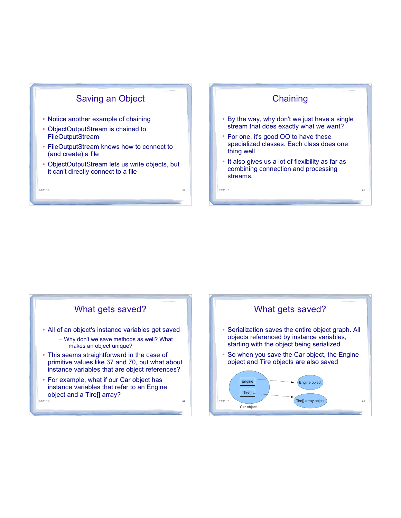



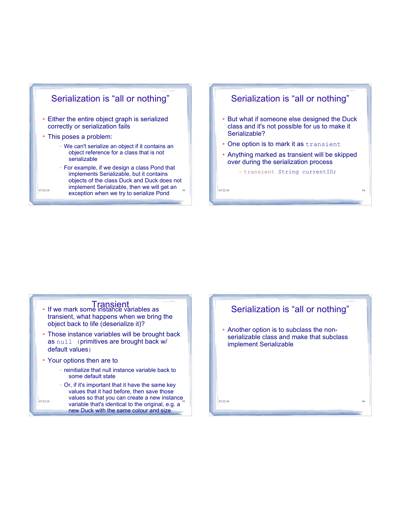

#### $\frac{107/22/10}{2}$  exception when we try to serialize Pond  $\frac{93}{4}$   $\frac{1}{2}$   $\frac{107/22/10}{2}$ objects of the class Duck and Duck does not implement Serializable, then we will get an

### Serialization is "all or nothing"

- But what if someone else designed the Duck class and it's not possible for us to make it Serializable?
- One option is to mark it as transient
- Anything marked as transient will be skipped over during the serialization process

- transient String currentID;



- reinitialize that null instance variable back to some default state
- $\frac{67}{22/10}$  variable that's identical to the original, e.g. a  $\frac{95}{10}$ - Or, if it's important that it have the same key values that it had before, then save those values so that you can create a new instance new Duck with the same colour and size

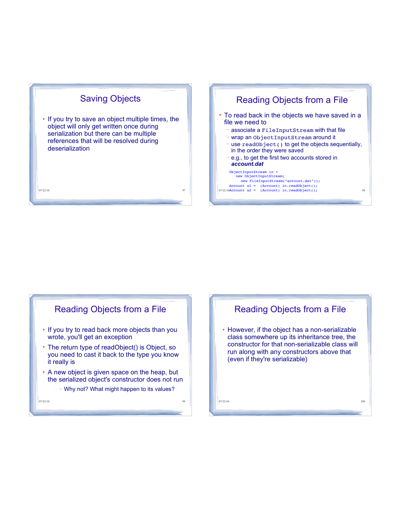

 If you try to save an object multiple times, the object will only get written once during serialization but there can be multiple references that will be resolved during deserialization

#### 07/22/10 97

#### Account al = (Account) in.readObject();<br>07/22/10Account a2 = (Account) in.readObject(); 98 Reading Objects from a File To read back in the objects we have saved in a file we need to - associate a FileInputStream with that file wrap an ObjectInputStream around it use readObject() to get the objects sequentially, in the order they were saved - e.g., to get the first two accounts stored in *account.dat* ObjectInputStream in = new ObjectInputStream( new FileInputStream("account.dat"));

## Reading Objects from a File • If you try to read back more objects than you wrote, you'll get an exception

- The return type of readObject() is Object, so you need to cast it back to the type you know it really is
- A new object is given space on the heap, but the serialized object's constructor does not run
	- Why not? What might happen to its values?

07/22/10 99

# 07/22/10 100 Reading Objects from a File However, if the object has a non-serializable class somewhere up its inheritance tree, the constructor for that non-serializable class will run along with any constructors above that (even if they're serializable)